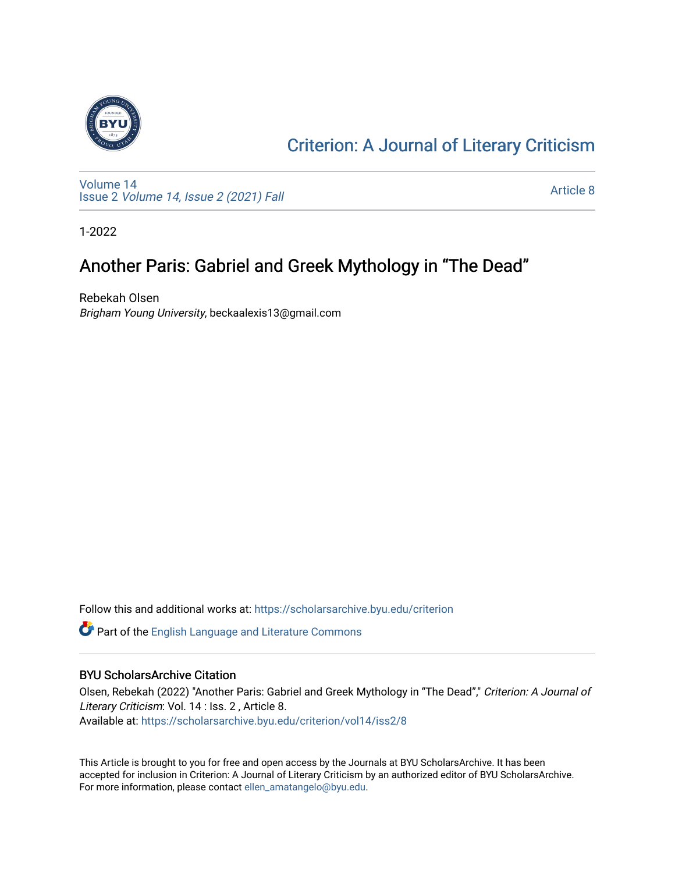

## [Criterion: A Journal of Literary Criticism](https://scholarsarchive.byu.edu/criterion)

[Volume 14](https://scholarsarchive.byu.edu/criterion/vol14) Issue 2 [Volume 14, Issue 2 \(2021\) Fall](https://scholarsarchive.byu.edu/criterion/vol14/iss2)

[Article 8](https://scholarsarchive.byu.edu/criterion/vol14/iss2/8) 

1-2022

## Another Paris: Gabriel and Greek Mythology in "The Dead"

Rebekah Olsen Brigham Young University, beckaalexis13@gmail.com

Follow this and additional works at: [https://scholarsarchive.byu.edu/criterion](https://scholarsarchive.byu.edu/criterion?utm_source=scholarsarchive.byu.edu%2Fcriterion%2Fvol14%2Fiss2%2F8&utm_medium=PDF&utm_campaign=PDFCoverPages) 

Part of the [English Language and Literature Commons](http://network.bepress.com/hgg/discipline/455?utm_source=scholarsarchive.byu.edu%2Fcriterion%2Fvol14%2Fiss2%2F8&utm_medium=PDF&utm_campaign=PDFCoverPages)

#### BYU ScholarsArchive Citation

Olsen, Rebekah (2022) "Another Paris: Gabriel and Greek Mythology in "The Dead"," Criterion: A Journal of Literary Criticism: Vol. 14 : Iss. 2, Article 8. Available at: [https://scholarsarchive.byu.edu/criterion/vol14/iss2/8](https://scholarsarchive.byu.edu/criterion/vol14/iss2/8?utm_source=scholarsarchive.byu.edu%2Fcriterion%2Fvol14%2Fiss2%2F8&utm_medium=PDF&utm_campaign=PDFCoverPages)

This Article is brought to you for free and open access by the Journals at BYU ScholarsArchive. It has been accepted for inclusion in Criterion: A Journal of Literary Criticism by an authorized editor of BYU ScholarsArchive. For more information, please contact [ellen\\_amatangelo@byu.edu.](mailto:ellen_amatangelo@byu.edu)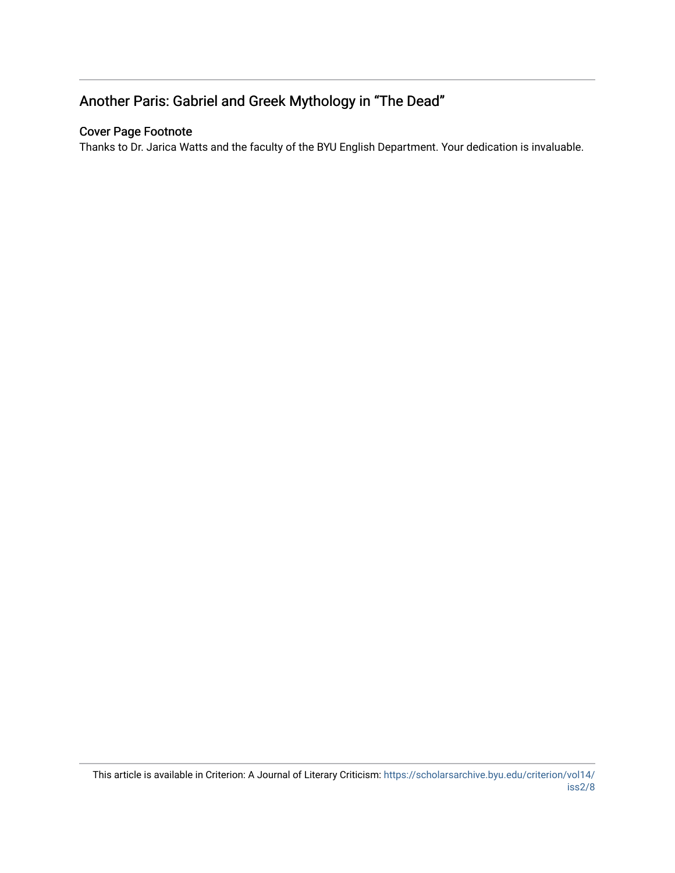### Another Paris: Gabriel and Greek Mythology in "The Dead"

#### Cover Page Footnote

Thanks to Dr. Jarica Watts and the faculty of the BYU English Department. Your dedication is invaluable.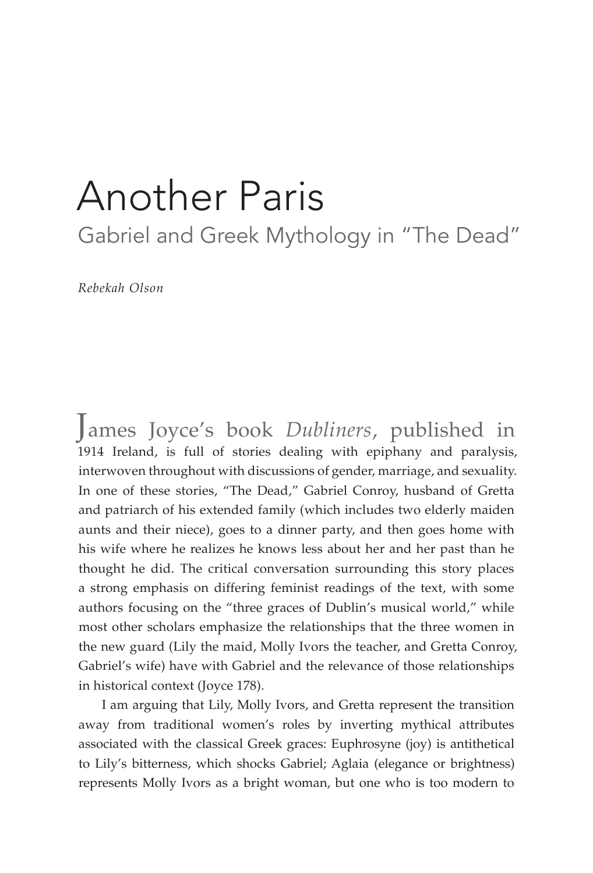# Another Paris

Gabriel and Greek Mythology in "The Dead"

*Rebekah Olson*

James Joyce's book *Dubliners*, published in 1914 Ireland, is full of stories dealing with epiphany and paralysis, interwoven throughout with discussions of gender, marriage, and sexuality. In one of these stories, "The Dead," Gabriel Conroy, husband of Gretta and patriarch of his extended family (which includes two elderly maiden aunts and their niece), goes to a dinner party, and then goes home with his wife where he realizes he knows less about her and her past than he thought he did. The critical conversation surrounding this story places a strong emphasis on differing feminist readings of the text, with some authors focusing on the "three graces of Dublin's musical world," while most other scholars emphasize the relationships that the three women in the new guard (Lily the maid, Molly Ivors the teacher, and Gretta Conroy, Gabriel's wife) have with Gabriel and the relevance of those relationships in historical context (Joyce 178).

I am arguing that Lily, Molly Ivors, and Gretta represent the transition away from traditional women's roles by inverting mythical attributes associated with the classical Greek graces: Euphrosyne (joy) is antithetical to Lily's bitterness, which shocks Gabriel; Aglaia (elegance or brightness) represents Molly Ivors as a bright woman, but one who is too modern to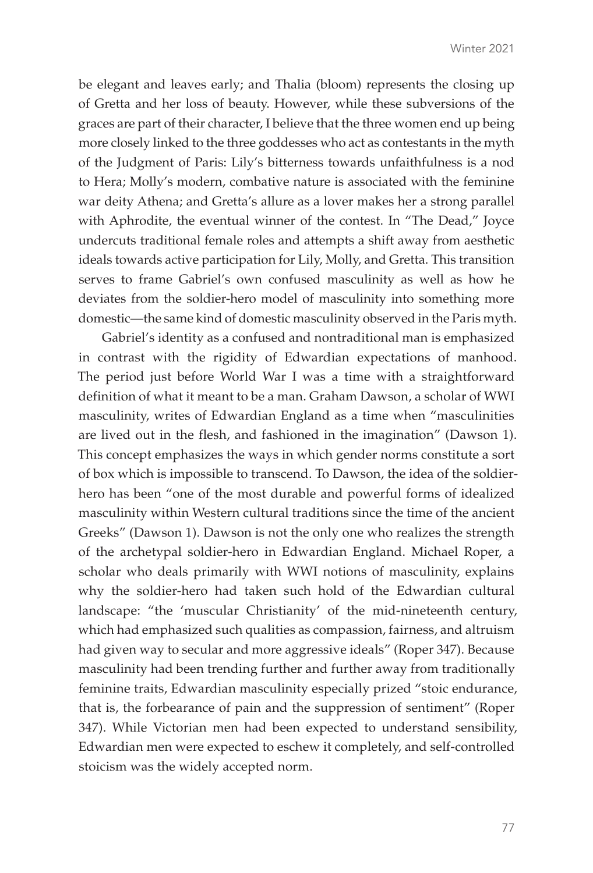be elegant and leaves early; and Thalia (bloom) represents the closing up of Gretta and her loss of beauty. However, while these subversions of the graces are part of their character, I believe that the three women end up being more closely linked to the three goddesses who act as contestants in the myth of the Judgment of Paris: Lily's bitterness towards unfaithfulness is a nod to Hera; Molly's modern, combative nature is associated with the feminine war deity Athena; and Gretta's allure as a lover makes her a strong parallel with Aphrodite, the eventual winner of the contest. In "The Dead," Joyce undercuts traditional female roles and attempts a shift away from aesthetic ideals towards active participation for Lily, Molly, and Gretta. This transition serves to frame Gabriel's own confused masculinity as well as how he deviates from the soldier-hero model of masculinity into something more domestic—the same kind of domestic masculinity observed in the Paris myth.

Gabriel's identity as a confused and nontraditional man is emphasized in contrast with the rigidity of Edwardian expectations of manhood. The period just before World War I was a time with a straightforward definition of what it meant to be a man. Graham Dawson, a scholar of WWI masculinity, writes of Edwardian England as a time when "masculinities are lived out in the flesh, and fashioned in the imagination" (Dawson 1). This concept emphasizes the ways in which gender norms constitute a sort of box which is impossible to transcend. To Dawson, the idea of the soldierhero has been "one of the most durable and powerful forms of idealized masculinity within Western cultural traditions since the time of the ancient Greeks" (Dawson 1). Dawson is not the only one who realizes the strength of the archetypal soldier-hero in Edwardian England. Michael Roper, a scholar who deals primarily with WWI notions of masculinity, explains why the soldier-hero had taken such hold of the Edwardian cultural landscape: "the 'muscular Christianity' of the mid-nineteenth century, which had emphasized such qualities as compassion, fairness, and altruism had given way to secular and more aggressive ideals" (Roper 347). Because masculinity had been trending further and further away from traditionally feminine traits, Edwardian masculinity especially prized "stoic endurance, that is, the forbearance of pain and the suppression of sentiment" (Roper 347). While Victorian men had been expected to understand sensibility, Edwardian men were expected to eschew it completely, and self-controlled stoicism was the widely accepted norm.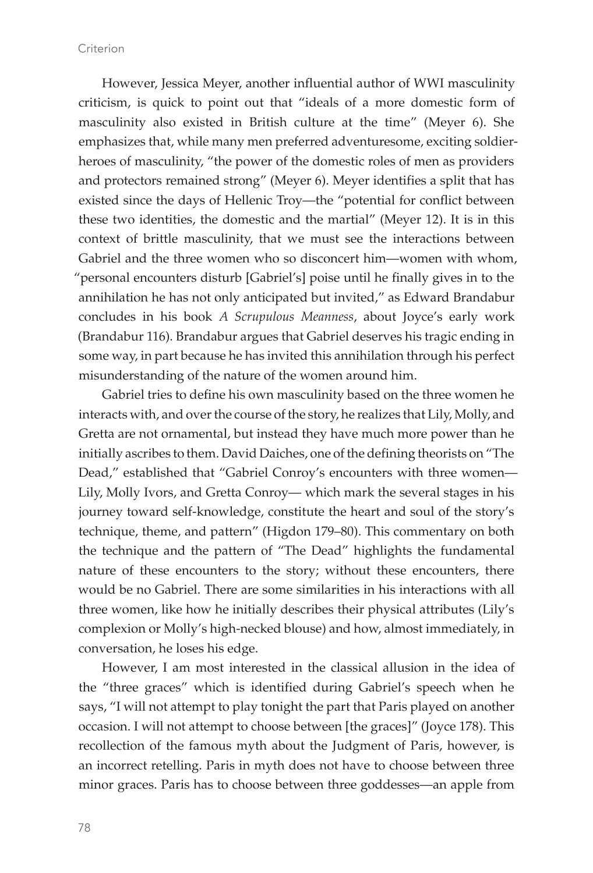However, Jessica Meyer, another influential author of WWI masculinity criticism, is quick to point out that "ideals of a more domestic form of masculinity also existed in British culture at the time" (Meyer 6). She emphasizes that, while many men preferred adventuresome, exciting soldierheroes of masculinity, "the power of the domestic roles of men as providers and protectors remained strong" (Meyer 6). Meyer identifies a split that has existed since the days of Hellenic Troy—the "potential for conflict between these two identities, the domestic and the martial" (Meyer 12). It is in this context of brittle masculinity, that we must see the interactions between Gabriel and the three women who so disconcert him—women with whom, "personal encounters disturb [Gabriel's] poise until he finally gives in to the annihilation he has not only anticipated but invited," as Edward Brandabur concludes in his book *A Scrupulous Meanness*, about Joyce's early work (Brandabur 116). Brandabur argues that Gabriel deserves his tragic ending in some way, in part because he has invited this annihilation through his perfect misunderstanding of the nature of the women around him.

Gabriel tries to define his own masculinity based on the three women he interacts with, and over the course of the story, he realizes that Lily, Molly, and Gretta are not ornamental, but instead they have much more power than he initially ascribes to them. David Daiches, one of the defining theorists on "The Dead," established that "Gabriel Conroy's encounters with three women— Lily, Molly Ivors, and Gretta Conroy— which mark the several stages in his journey toward self-knowledge, constitute the heart and soul of the story's technique, theme, and pattern" (Higdon 179–80). This commentary on both the technique and the pattern of "The Dead" highlights the fundamental nature of these encounters to the story; without these encounters, there would be no Gabriel. There are some similarities in his interactions with all three women, like how he initially describes their physical attributes (Lily's complexion or Molly's high-necked blouse) and how, almost immediately, in conversation, he loses his edge.

However, I am most interested in the classical allusion in the idea of the "three graces" which is identified during Gabriel's speech when he says, "I will not attempt to play tonight the part that Paris played on another occasion. I will not attempt to choose between [the graces]" (Joyce 178). This recollection of the famous myth about the Judgment of Paris, however, is an incorrect retelling. Paris in myth does not have to choose between three minor graces. Paris has to choose between three goddesses—an apple from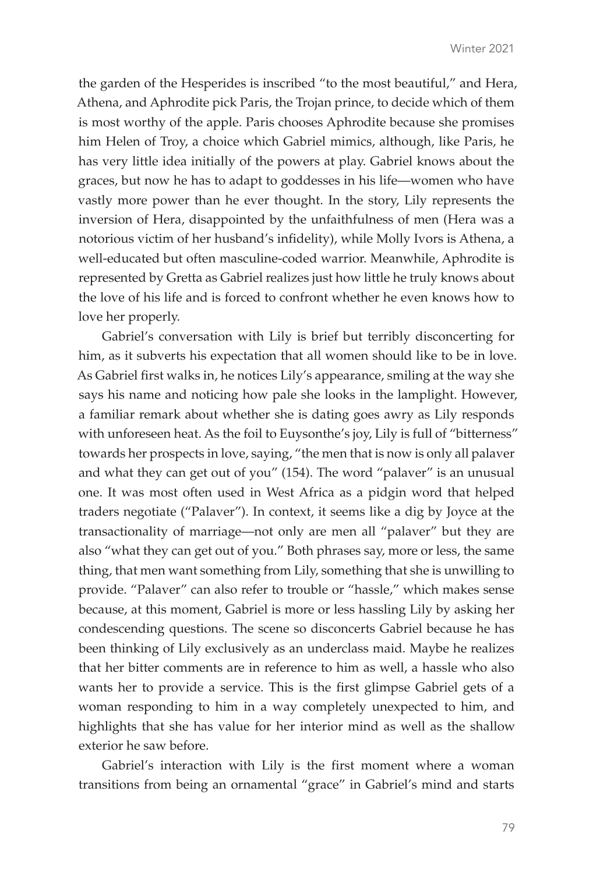the garden of the Hesperides is inscribed "to the most beautiful," and Hera, Athena, and Aphrodite pick Paris, the Trojan prince, to decide which of them is most worthy of the apple. Paris chooses Aphrodite because she promises him Helen of Troy, a choice which Gabriel mimics, although, like Paris, he has very little idea initially of the powers at play. Gabriel knows about the graces, but now he has to adapt to goddesses in his life—women who have vastly more power than he ever thought. In the story, Lily represents the inversion of Hera, disappointed by the unfaithfulness of men (Hera was a notorious victim of her husband's infidelity), while Molly Ivors is Athena, a well-educated but often masculine-coded warrior. Meanwhile, Aphrodite is represented by Gretta as Gabriel realizes just how little he truly knows about the love of his life and is forced to confront whether he even knows how to love her properly.

Gabriel's conversation with Lily is brief but terribly disconcerting for him, as it subverts his expectation that all women should like to be in love. As Gabriel first walks in, he notices Lily's appearance, smiling at the way she says his name and noticing how pale she looks in the lamplight. However, a familiar remark about whether she is dating goes awry as Lily responds with unforeseen heat. As the foil to Euysonthe's joy, Lily is full of "bitterness" towards her prospects in love, saying, "the men that is now is only all palaver and what they can get out of you" (154). The word "palaver" is an unusual one. It was most often used in West Africa as a pidgin word that helped traders negotiate ("Palaver"). In context, it seems like a dig by Joyce at the transactionality of marriage—not only are men all "palaver" but they are also "what they can get out of you." Both phrases say, more or less, the same thing, that men want something from Lily, something that she is unwilling to provide. "Palaver" can also refer to trouble or "hassle," which makes sense because, at this moment, Gabriel is more or less hassling Lily by asking her condescending questions. The scene so disconcerts Gabriel because he has been thinking of Lily exclusively as an underclass maid. Maybe he realizes that her bitter comments are in reference to him as well, a hassle who also wants her to provide a service. This is the first glimpse Gabriel gets of a woman responding to him in a way completely unexpected to him, and highlights that she has value for her interior mind as well as the shallow exterior he saw before.

Gabriel's interaction with Lily is the first moment where a woman transitions from being an ornamental "grace" in Gabriel's mind and starts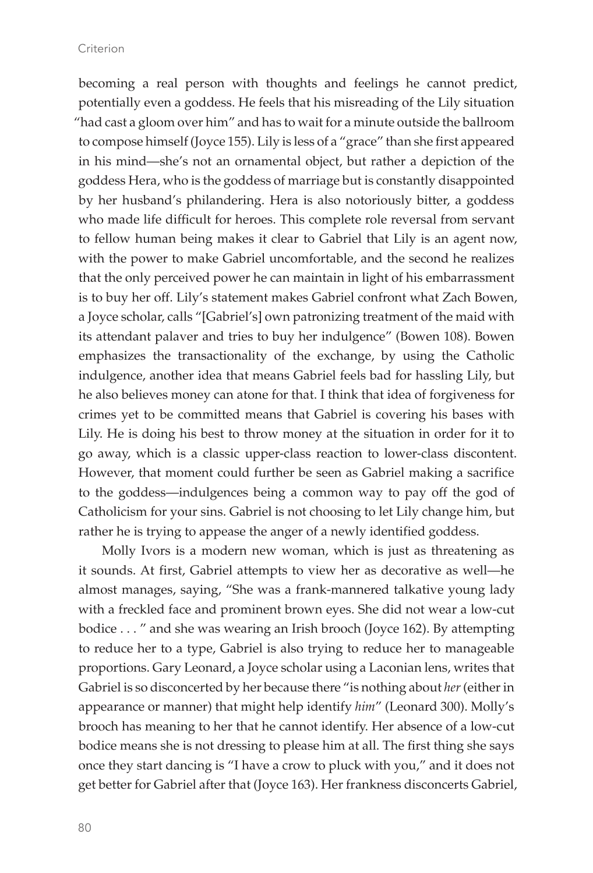becoming a real person with thoughts and feelings he cannot predict, potentially even a goddess. He feels that his misreading of the Lily situation "had cast a gloom over him" and has to wait for a minute outside the ballroom to compose himself (Joyce 155). Lily is less of a "grace" than she first appeared in his mind—she's not an ornamental object, but rather a depiction of the goddess Hera, who is the goddess of marriage but is constantly disappointed by her husband's philandering. Hera is also notoriously bitter, a goddess who made life difficult for heroes. This complete role reversal from servant to fellow human being makes it clear to Gabriel that Lily is an agent now, with the power to make Gabriel uncomfortable, and the second he realizes that the only perceived power he can maintain in light of his embarrassment is to buy her off. Lily's statement makes Gabriel confront what Zach Bowen, a Joyce scholar, calls "[Gabriel's] own patronizing treatment of the maid with its attendant palaver and tries to buy her indulgence" (Bowen 108). Bowen emphasizes the transactionality of the exchange, by using the Catholic indulgence, another idea that means Gabriel feels bad for hassling Lily, but he also believes money can atone for that. I think that idea of forgiveness for crimes yet to be committed means that Gabriel is covering his bases with Lily. He is doing his best to throw money at the situation in order for it to go away, which is a classic upper-class reaction to lower-class discontent. However, that moment could further be seen as Gabriel making a sacrifice to the goddess—indulgences being a common way to pay off the god of Catholicism for your sins. Gabriel is not choosing to let Lily change him, but rather he is trying to appease the anger of a newly identified goddess.

Molly Ivors is a modern new woman, which is just as threatening as it sounds. At first, Gabriel attempts to view her as decorative as well—he almost manages, saying, "She was a frank-mannered talkative young lady with a freckled face and prominent brown eyes. She did not wear a low-cut bodice . . . " and she was wearing an Irish brooch (Joyce 162). By attempting to reduce her to a type, Gabriel is also trying to reduce her to manageable proportions. Gary Leonard, a Joyce scholar using a Laconian lens, writes that Gabriel is so disconcerted by her because there "is nothing about *her* (either in appearance or manner) that might help identify *him*" (Leonard 300). Molly's brooch has meaning to her that he cannot identify. Her absence of a low-cut bodice means she is not dressing to please him at all. The first thing she says once they start dancing is "I have a crow to pluck with you," and it does not get better for Gabriel after that (Joyce 163). Her frankness disconcerts Gabriel,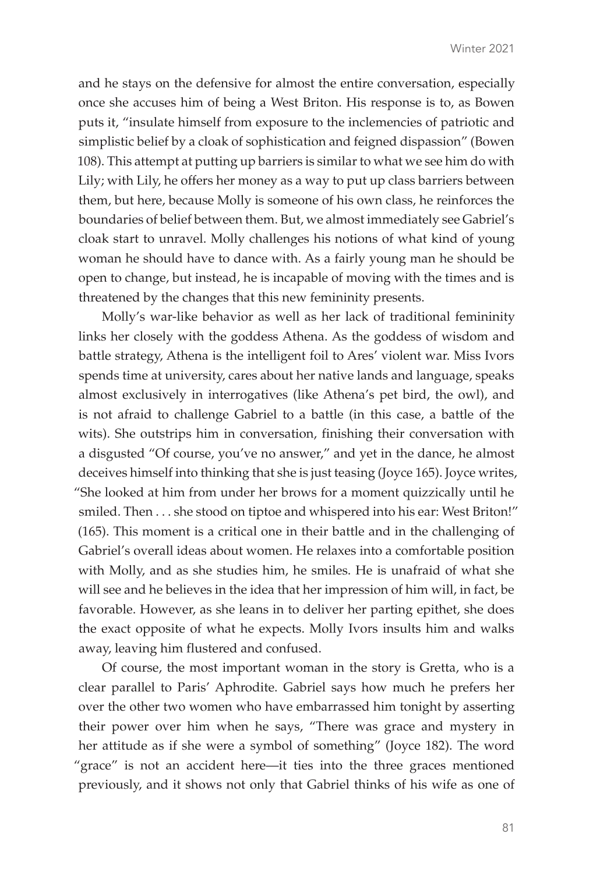and he stays on the defensive for almost the entire conversation, especially once she accuses him of being a West Briton. His response is to, as Bowen puts it, "insulate himself from exposure to the inclemencies of patriotic and simplistic belief by a cloak of sophistication and feigned dispassion" (Bowen 108). This attempt at putting up barriers is similar to what we see him do with Lily; with Lily, he offers her money as a way to put up class barriers between them, but here, because Molly is someone of his own class, he reinforces the boundaries of belief between them. But, we almost immediately see Gabriel's cloak start to unravel. Molly challenges his notions of what kind of young woman he should have to dance with. As a fairly young man he should be open to change, but instead, he is incapable of moving with the times and is threatened by the changes that this new femininity presents.

Molly's war-like behavior as well as her lack of traditional femininity links her closely with the goddess Athena. As the goddess of wisdom and battle strategy, Athena is the intelligent foil to Ares' violent war. Miss Ivors spends time at university, cares about her native lands and language, speaks almost exclusively in interrogatives (like Athena's pet bird, the owl), and is not afraid to challenge Gabriel to a battle (in this case, a battle of the wits). She outstrips him in conversation, finishing their conversation with a disgusted "Of course, you've no answer," and yet in the dance, he almost deceives himself into thinking that she is just teasing (Joyce 165). Joyce writes, "She looked at him from under her brows for a moment quizzically until he smiled. Then . . . she stood on tiptoe and whispered into his ear: West Briton!" (165). This moment is a critical one in their battle and in the challenging of Gabriel's overall ideas about women. He relaxes into a comfortable position with Molly, and as she studies him, he smiles. He is unafraid of what she will see and he believes in the idea that her impression of him will, in fact, be favorable. However, as she leans in to deliver her parting epithet, she does the exact opposite of what he expects. Molly Ivors insults him and walks away, leaving him flustered and confused.

Of course, the most important woman in the story is Gretta, who is a clear parallel to Paris' Aphrodite. Gabriel says how much he prefers her over the other two women who have embarrassed him tonight by asserting their power over him when he says, "There was grace and mystery in her attitude as if she were a symbol of something" (Joyce 182). The word "grace" is not an accident here—it ties into the three graces mentioned previously, and it shows not only that Gabriel thinks of his wife as one of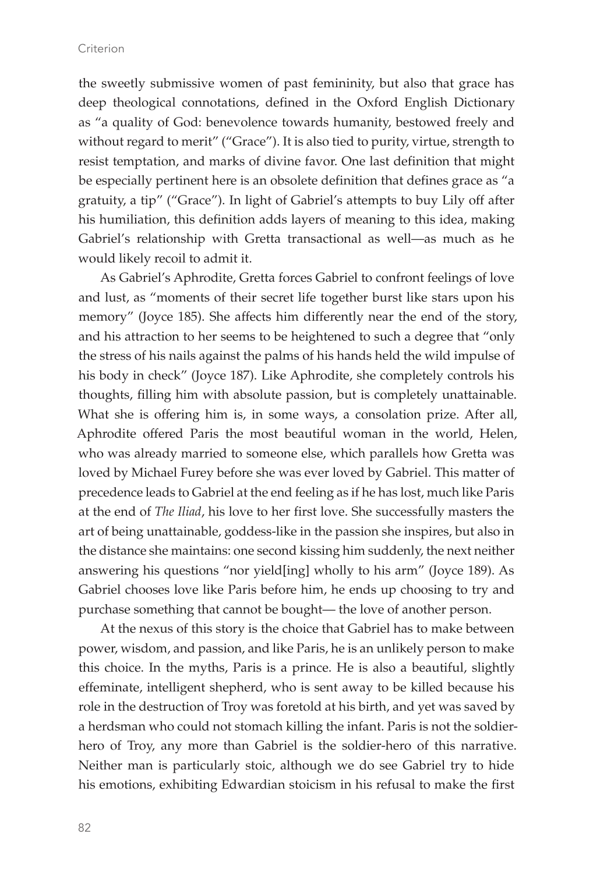#### Criterion

the sweetly submissive women of past femininity, but also that grace has deep theological connotations, defined in the Oxford English Dictionary as "a quality of God: benevolence towards humanity, bestowed freely and without regard to merit" ("Grace"). It is also tied to purity, virtue, strength to resist temptation, and marks of divine favor. One last definition that might be especially pertinent here is an obsolete definition that defines grace as "a gratuity, a tip" ("Grace"). In light of Gabriel's attempts to buy Lily off after his humiliation, this definition adds layers of meaning to this idea, making Gabriel's relationship with Gretta transactional as well—as much as he would likely recoil to admit it.

As Gabriel's Aphrodite, Gretta forces Gabriel to confront feelings of love and lust, as "moments of their secret life together burst like stars upon his memory" (Joyce 185). She affects him differently near the end of the story, and his attraction to her seems to be heightened to such a degree that "only the stress of his nails against the palms of his hands held the wild impulse of his body in check" (Joyce 187). Like Aphrodite, she completely controls his thoughts, filling him with absolute passion, but is completely unattainable. What she is offering him is, in some ways, a consolation prize. After all, Aphrodite offered Paris the most beautiful woman in the world, Helen, who was already married to someone else, which parallels how Gretta was loved by Michael Furey before she was ever loved by Gabriel. This matter of precedence leads to Gabriel at the end feeling as if he has lost, much like Paris at the end of *The Iliad*, his love to her first love. She successfully masters the art of being unattainable, goddess-like in the passion she inspires, but also in the distance she maintains: one second kissing him suddenly, the next neither answering his questions "nor yield[ing] wholly to his arm" (Joyce 189). As Gabriel chooses love like Paris before him, he ends up choosing to try and purchase something that cannot be bought— the love of another person.

At the nexus of this story is the choice that Gabriel has to make between power, wisdom, and passion, and like Paris, he is an unlikely person to make this choice. In the myths, Paris is a prince. He is also a beautiful, slightly effeminate, intelligent shepherd, who is sent away to be killed because his role in the destruction of Troy was foretold at his birth, and yet was saved by a herdsman who could not stomach killing the infant. Paris is not the soldierhero of Troy, any more than Gabriel is the soldier-hero of this narrative. Neither man is particularly stoic, although we do see Gabriel try to hide his emotions, exhibiting Edwardian stoicism in his refusal to make the first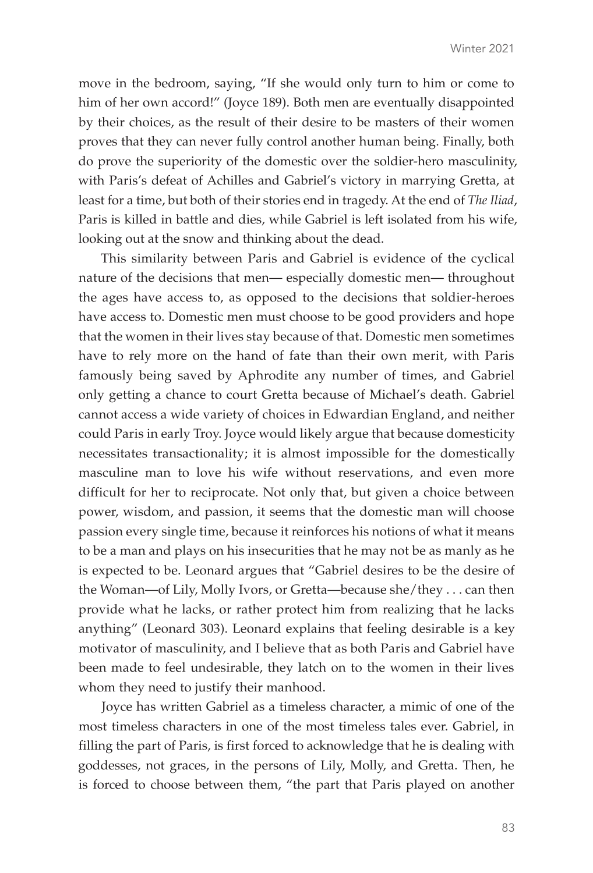move in the bedroom, saying, "If she would only turn to him or come to him of her own accord!" (Joyce 189). Both men are eventually disappointed by their choices, as the result of their desire to be masters of their women proves that they can never fully control another human being. Finally, both do prove the superiority of the domestic over the soldier-hero masculinity, with Paris's defeat of Achilles and Gabriel's victory in marrying Gretta, at least for a time, but both of their stories end in tragedy. At the end of *The Iliad*, Paris is killed in battle and dies, while Gabriel is left isolated from his wife, looking out at the snow and thinking about the dead.

This similarity between Paris and Gabriel is evidence of the cyclical nature of the decisions that men— especially domestic men— throughout the ages have access to, as opposed to the decisions that soldier-heroes have access to. Domestic men must choose to be good providers and hope that the women in their lives stay because of that. Domestic men sometimes have to rely more on the hand of fate than their own merit, with Paris famously being saved by Aphrodite any number of times, and Gabriel only getting a chance to court Gretta because of Michael's death. Gabriel cannot access a wide variety of choices in Edwardian England, and neither could Paris in early Troy. Joyce would likely argue that because domesticity necessitates transactionality; it is almost impossible for the domestically masculine man to love his wife without reservations, and even more difficult for her to reciprocate. Not only that, but given a choice between power, wisdom, and passion, it seems that the domestic man will choose passion every single time, because it reinforces his notions of what it means to be a man and plays on his insecurities that he may not be as manly as he is expected to be. Leonard argues that "Gabriel desires to be the desire of the Woman—of Lily, Molly Ivors, or Gretta—because she/they . . . can then provide what he lacks, or rather protect him from realizing that he lacks anything" (Leonard 303). Leonard explains that feeling desirable is a key motivator of masculinity, and I believe that as both Paris and Gabriel have been made to feel undesirable, they latch on to the women in their lives whom they need to justify their manhood.

Joyce has written Gabriel as a timeless character, a mimic of one of the most timeless characters in one of the most timeless tales ever. Gabriel, in filling the part of Paris, is first forced to acknowledge that he is dealing with goddesses, not graces, in the persons of Lily, Molly, and Gretta. Then, he is forced to choose between them, "the part that Paris played on another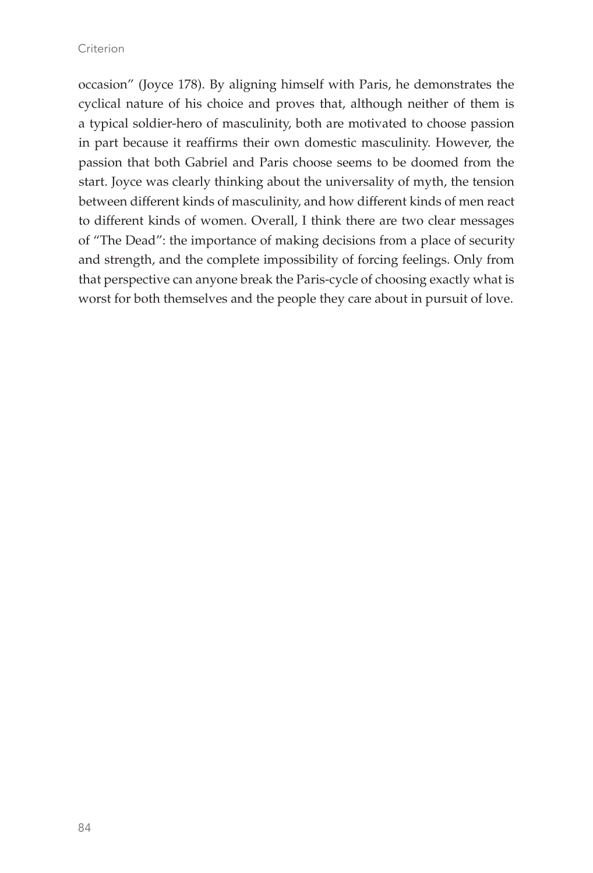occasion" (Joyce 178). By aligning himself with Paris, he demonstrates the cyclical nature of his choice and proves that, although neither of them is a typical soldier-hero of masculinity, both are motivated to choose passion in part because it reaffirms their own domestic masculinity. However, the passion that both Gabriel and Paris choose seems to be doomed from the start. Joyce was clearly thinking about the universality of myth, the tension between different kinds of masculinity, and how different kinds of men react to different kinds of women. Overall, I think there are two clear messages of "The Dead": the importance of making decisions from a place of security and strength, and the complete impossibility of forcing feelings. Only from that perspective can anyone break the Paris-cycle of choosing exactly what is worst for both themselves and the people they care about in pursuit of love.